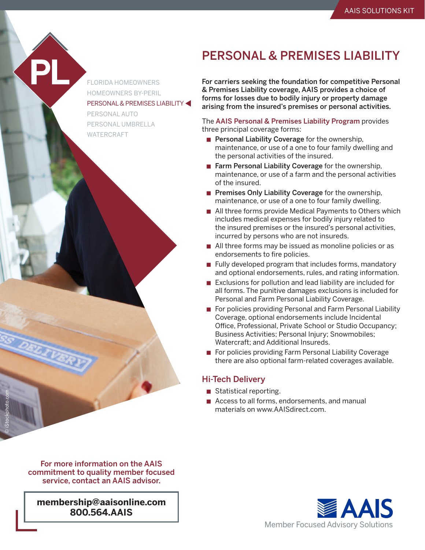FLORIDA HOMEOWNERS HOMEOWNERS BY-PERIL PERSONAL & PREMISES LIABILITY

PERSONAL AUTO PERSONAL UMBRELLA WATERCRAFT

# PERSONAL & PREMISES LIABILITY

For carriers seeking the foundation for competitive Personal & Premises Liability coverage, AAIS provides a choice of forms for losses due to bodily injury or property damage arising from the insured's premises or personal activities.

The AAIS Personal & Premises Liability Program provides three principal coverage forms:

- **Personal Liability Coverage** for the ownership, maintenance, or use of a one to four family dwelling and the personal activities of the insured.
- Farm Personal Liability Coverage for the ownership, maintenance, or use of a farm and the personal activities of the insured.
- **n** Premises Only Liability Coverage for the ownership, maintenance, or use of a one to four family dwelling.
- $\blacksquare$  All three forms provide Medical Payments to Others which includes medical expenses for bodily injury related to the insured premises or the insured's personal activities, incurred by persons who are not insureds.
- $\blacksquare$  All three forms may be issued as monoline policies or as endorsements to fire policies.
- $\blacksquare$  Fully developed program that includes forms, mandatory and optional endorsements, rules, and rating information.
- $\blacksquare$  Exclusions for pollution and lead liability are included for all forms. The punitive damages exclusions is included for Personal and Farm Personal Liability Coverage.
- For policies providing Personal and Farm Personal Liability Coverage, optional endorsements include Incidental Office, Professional, Private School or Studio Occupancy; Business Activities; Personal Injury; Snowmobiles; Watercraft; and Additional Insureds.
- For policies providing Farm Personal Liability Coverage there are also optional farm-related coverages available.

# Hi-Tech Delivery

- $\blacksquare$  Statistical reporting.
- Access to all forms, endorsements, and manual materials on www.AAISdirect.com.

For more information on the AAIS commitment to quality member focused service, contact an AAIS advisor.

© iStockphoto.com

**membership@aaisonline.com 800.564.AAIS**